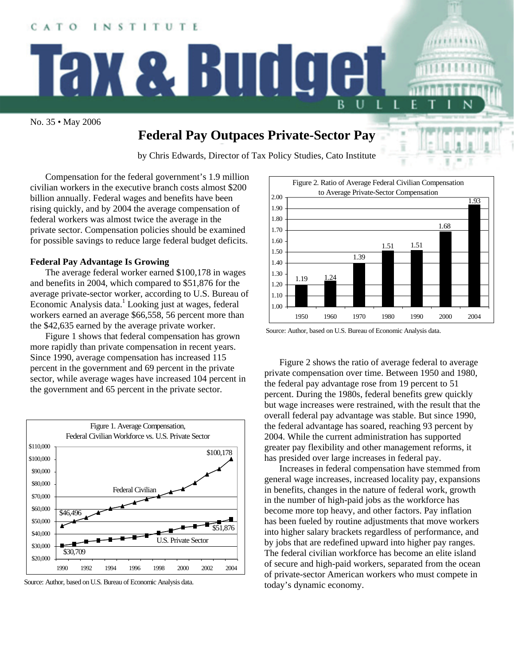

# **Federal Pay Outpaces Private-Sector Pay**

by Chris Edwards, Director of Tax Policy Studies, Cato Institute

Compensation for the federal government's 1.9 million civilian workers in the executive branch costs almost \$200 billion annually. Federal wages and benefits have been rising quickly, and by 2004 the average compensation of federal workers was almost twice the average in the private sector. Compensation policies should be examined for possible savings to reduce large federal budget deficits.

### **Federal Pay Advantage Is Growing**

The average federal worker earned \$100,178 in wages and benefits in 2004, which compared to \$51,876 for the average private-sector worker, according to U.S. Bureau of Economic Analysis data.<sup>[1](#page-1-0)</sup> Looking just at wages, federal workers earned an average \$66,558, 56 percent more than the \$42,635 earned by the average private worker.

Figure 1 shows that federal compensation has grown more rapidly than private compensation in recent years. Since 1990, average compensation has increased 115 percent in the government and 69 percent in the private sector, while average wages have increased 104 percent in the government and 65 percent in the private sector.







Source: Author, based on U.S. Bureau of Economic Analysis data.

Figure 2 shows the ratio of average federal to average private compensation over time. Between 1950 and 1980, the federal pay advantage rose from 19 percent to 51 but wage increases were restrained, with the result that the percent. During the 1980s, federal benefits grew quickly overall federal pay advantage was stable. But since 1990, the federal advantage has soared, reaching 93 percent by 2004. While the current administration has supported greater pay flexibility and other management reforms, it has presided over large increases in federal pay.

general wage increases, increased locality pay, expansions in b enefits, changes in the nature of federal work, growth has been fueled by routine adjustments that move workers Increases in federal compensation have stemmed from in the number of high-paid jobs as the workforce has become more top heavy, and other factors. Pay inflation into higher salary brackets regardless of performance, and by jobs that are redefined upward into higher pay ranges. The federal civilian workforce has become an elite island of secure and high-paid workers, separated from the ocean of private-sector American workers who must compete in today's dynamic economy.